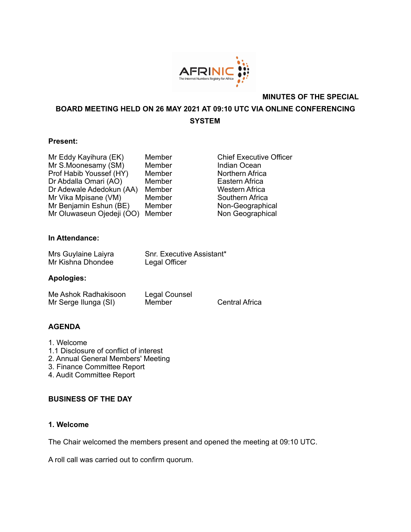

## **MINUTES OF THE SPECIAL**

**BOARD MEETING HELD ON 26 MAY 2021 AT 09:10 UTC VIA ONLINE CONFERENCING SYSTEM** 

### **Present:**

| Member | <b>Chief Executive Of</b> |
|--------|---------------------------|
| Member | Indian Ocean              |
| Member | Northern Africa           |
| Member | Eastern Africa            |
| Member | <b>Western Africa</b>     |
| Member | Southern Africa           |
| Member | Non-Geographical          |
| Member | Non Geographical          |
|        |                           |

ber **Chief Executive Officer** ber **Indian Ocean Profer Morthern Africa** ber **Eastern Africa** ber **Western Africa** ber Southern Africa ber Non-Geographical

# **In Attendance:**

| Mrs Guylaine Laiyra | Snr. Executive Assistant* |
|---------------------|---------------------------|
| Mr Kishna Dhondee   | Legal Officer             |

#### **Apologies:**

Me Ashok Radhakisoon Legal Counsel<br>Mr Serge Ilunga (SI) Member Mr Serge Ilunga (SI) Member Central Africa

## **AGENDA**

- 1. Welcome
- 1.1 Disclosure of conflict of interest
- 2. Annual General Members' Meeting
- 3. Finance Committee Report
- 4. Audit Committee Report

## **BUSINESS OF THE DAY**

## **1. Welcome**

The Chair welcomed the members present and opened the meeting at 09:10 UTC.

A roll call was carried out to confirm quorum.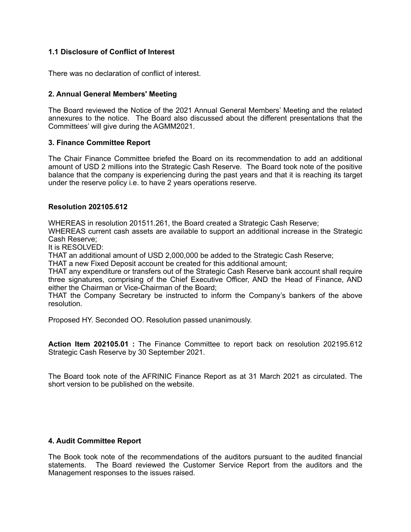## **1.1 Disclosure of Conflict of Interest**

There was no declaration of conflict of interest.

## **2. Annual General Members' Meeting**

The Board reviewed the Notice of the 2021 Annual General Members' Meeting and the related annexures to the notice. The Board also discussed about the different presentations that the Committees' will give during the AGMM2021.

### **3. Finance Committee Report**

The Chair Finance Committee briefed the Board on its recommendation to add an additional amount of USD 2 millions into the Strategic Cash Reserve. The Board took note of the positive balance that the company is experiencing during the past years and that it is reaching its target under the reserve policy i.e. to have 2 years operations reserve.

#### **Resolution 202105.612**

WHEREAS in resolution 201511.261, the Board created a Strategic Cash Reserve;

WHEREAS current cash assets are available to support an additional increase in the Strategic Cash Reserve;

It is RESOLVED:

THAT an additional amount of USD 2,000,000 be added to the Strategic Cash Reserve;

THAT a new Fixed Deposit account be created for this additional amount;

THAT any expenditure or transfers out of the Strategic Cash Reserve bank account shall require three signatures, comprising of the Chief Executive Officer, AND the Head of Finance, AND either the Chairman or Vice-Chairman of the Board;

THAT the Company Secretary be instructed to inform the Company's bankers of the above resolution.

Proposed HY. Seconded OO. Resolution passed unanimously.

**Action Item 202105.01 :** The Finance Committee to report back on resolution 202195.612 Strategic Cash Reserve by 30 September 2021.

The Board took note of the AFRINIC Finance Report as at 31 March 2021 as circulated. The short version to be published on the website.

#### **4. Audit Committee Report**

The Book took note of the recommendations of the auditors pursuant to the audited financial statements. The Board reviewed the Customer Service Report from the auditors and the Management responses to the issues raised.